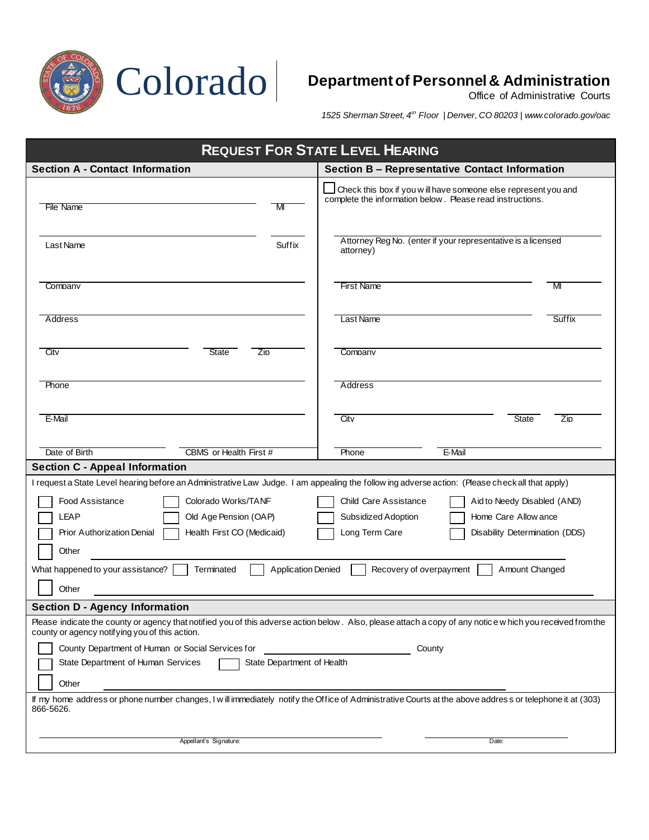

*1525 Sherman Street, 4th Floor | Denver, CO 80203 | www.colorado.gov/oac*

| <b>REQUEST FOR STATE LEVEL HEARING</b>                                                                                                                                                                       |                                                                                                                              |
|--------------------------------------------------------------------------------------------------------------------------------------------------------------------------------------------------------------|------------------------------------------------------------------------------------------------------------------------------|
| <b>Section A - Contact Information</b>                                                                                                                                                                       | <b>Section B - Representative Contact Information</b>                                                                        |
| File Name<br>M                                                                                                                                                                                               | Check this box if you w ill have someone else represent you and<br>complete the information below. Please read instructions. |
| Suffix<br>Last Name                                                                                                                                                                                          | Attorney Reg No. (enter if your representative is a licensed<br>attorney)                                                    |
| Company                                                                                                                                                                                                      | <b>First Name</b><br>м                                                                                                       |
| Address                                                                                                                                                                                                      | Last Name<br>Suffix                                                                                                          |
| City<br>State<br>Zip                                                                                                                                                                                         | Company                                                                                                                      |
| Phone                                                                                                                                                                                                        | Address                                                                                                                      |
| E-Mail                                                                                                                                                                                                       | City<br><b>State</b><br>Zip                                                                                                  |
| Date of Birth<br>CBMS or Health First #                                                                                                                                                                      | E-Mail<br>Phone                                                                                                              |
| <b>Section C - Appeal Information</b>                                                                                                                                                                        |                                                                                                                              |
| I request a State Level hearing before an Administrative Law Judge. I am appealing the follow ing adverse action: (Please check all that apply)                                                              |                                                                                                                              |
| <b>Food Assistance</b><br>Colorado Works/TANF                                                                                                                                                                | <b>Child Care Assistance</b><br>Aid to Needy Disabled (AND)                                                                  |
| LEAP<br>Old Age Pension (OAP)                                                                                                                                                                                | Subsidized Adoption<br>Home Care Allow ance                                                                                  |
| Health First CO (Medicaid)<br>Prior Authorization Denial<br>Other                                                                                                                                            | Long Term Care<br>Disability Determination (DDS)                                                                             |
| What happened to your assistance?<br>Terminated<br><b>Application Denied</b><br>Recovery of overpayment<br>Amount Changed                                                                                    |                                                                                                                              |
| Other                                                                                                                                                                                                        |                                                                                                                              |
| <b>Section D - Agency Information</b>                                                                                                                                                                        |                                                                                                                              |
| Please indicate the county or agency that notified you of this adverse action below. Also, please attach a copy of any notice w hich you received from the<br>county or agency notifying you of this action. |                                                                                                                              |
| County Department of Human or Social Services for<br>County                                                                                                                                                  |                                                                                                                              |
| State Department of Human Services<br>State Department of Health                                                                                                                                             |                                                                                                                              |
| Other                                                                                                                                                                                                        |                                                                                                                              |
| If my home address or phone number changes, I will immediately notify the Office of Administrative Courts at the above address or telephone it at (303)<br>866-5626.                                         |                                                                                                                              |
|                                                                                                                                                                                                              |                                                                                                                              |
| Appellant's Signature:                                                                                                                                                                                       | Date:                                                                                                                        |